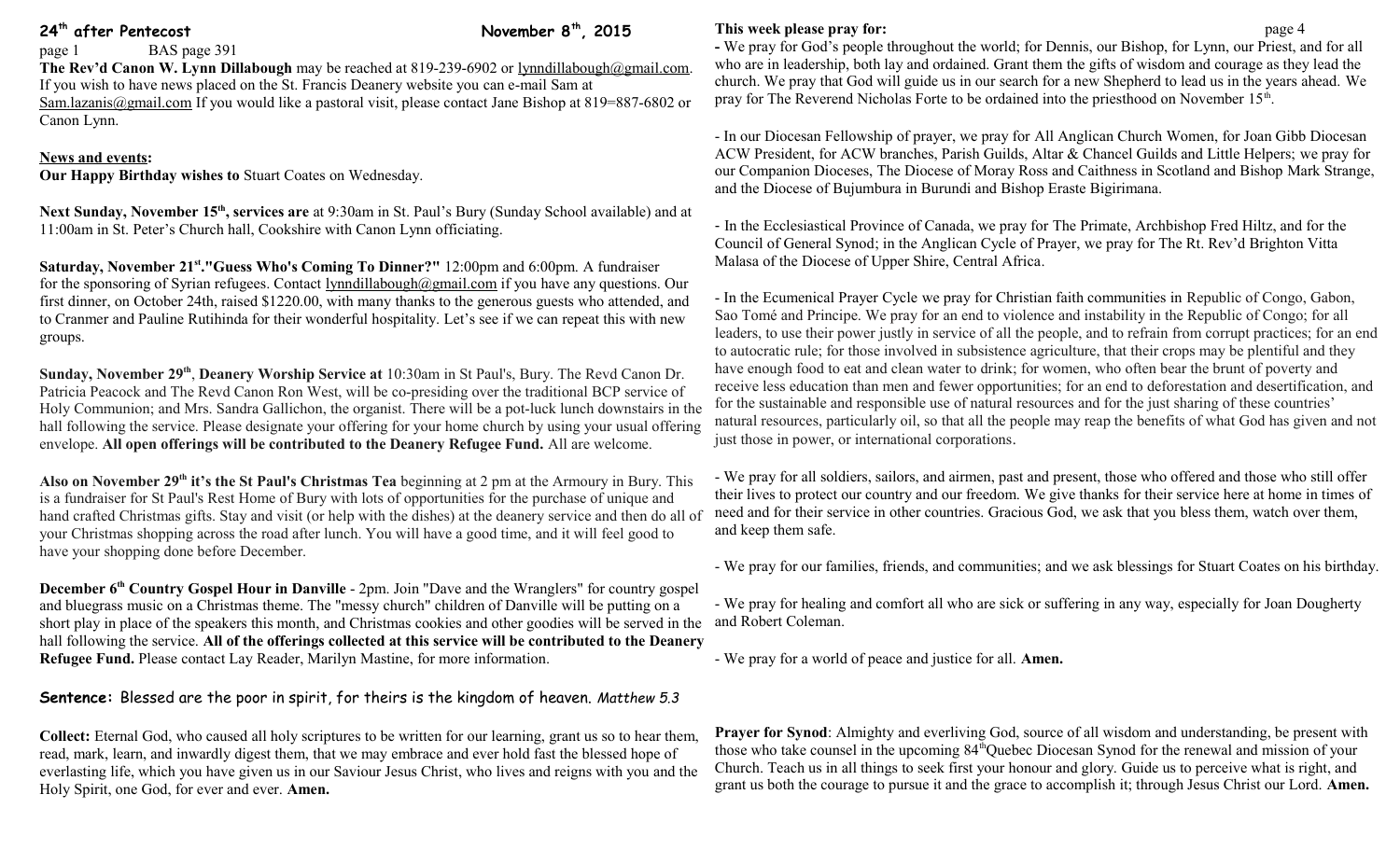**24th after Pentecost November 8th, 2015**

page 1 BAS page 391

**The Rev'd Canon W. Lynn Dillabough** may be reached at 819-239-6902 or [lynndillabough@gmail.com.](mailto:lynndillabough@gmail.com) If you wish to have news placed on the St. Francis Deanery website you can e-mail Sam at [Sam.lazanis@gmail.com](mailto:Sam.lazanis@gmail.com) If you would like a pastoral visit, please contact Jane Bishop at 819=887-6802 or Canon Lynn.

## **News and events:**

**Our Happy Birthday wishes to** Stuart Coates on Wednesday.

**Next Sunday, November 15th, services are** at 9:30am in St. Paul's Bury (Sunday School available) and at 11:00am in St. Peter's Church hall, Cookshire with Canon Lynn officiating.

**Saturday, November 21st ."Guess Who's Coming To Dinner?"** 12:00pm and 6:00pm. A fundraiser for the sponsoring of Syrian refugees. Contact [lynndillabough@gmail.com](mailto:lynndillabough@gmail.com) if you have any questions. Our first dinner, on October 24th, raised \$1220.00, with many thanks to the generous guests who attended, and to Cranmer and Pauline Rutihinda for their wonderful hospitality. Let's see if we can repeat this with new groups.

**Sunday, November 29th** , **Deanery Worship Service at** 10:30am in St Paul's, Bury. The Revd Canon Dr. Patricia Peacock and The Revd Canon Ron West, will be co-presiding over the traditional BCP service of Holy Communion; and Mrs. Sandra Gallichon, the organist. There will be a pot-luck lunch downstairs in the hall following the service. Please designate your offering for your home church by using your usual offering envelope. **All open offerings will be contributed to the Deanery Refugee Fund.** All are welcome.

Also on November 29<sup>th</sup> it's the St Paul's Christmas Tea beginning at 2 pm at the Armoury in Bury. This is a fundraiser for St Paul's Rest Home of Bury with lots of opportunities for the purchase of unique and hand crafted Christmas gifts. Stay and visit (or help with the dishes) at the deanery service and then do all of your Christmas shopping across the road after lunch. You will have a good time, and it will feel good to have your shopping done before December.

**December 6th Country Gospel Hour in Danville** - 2pm. Join "Dave and the Wranglers" for country gospel and bluegrass music on a Christmas theme. The "messy church" children of Danville will be putting on a short play in place of the speakers this month, and Christmas cookies and other goodies will be served in the and Robert Coleman. hall following the service. **All of the offerings collected at this service will be contributed to the Deanery Refugee Fund.** Please contact Lay Reader, Marilyn Mastine, for more information.

**Sentence:** Blessed are the poor in spirit, for theirs is the kingdom of heaven. *Matthew 5.3*

**Collect:** Eternal God, who caused all holy scriptures to be written for our learning, grant us so to hear them, read, mark, learn, and inwardly digest them, that we may embrace and ever hold fast the blessed hope of everlasting life, which you have given us in our Saviour Jesus Christ, who lives and reigns with you and the Holy Spirit, one God, for ever and ever. **Amen.**

## **This week please pray for: page 4**

**-** We pray for God's people throughout the world; for Dennis, our Bishop, for Lynn, our Priest, and for all who are in leadership, both lay and ordained. Grant them the gifts of wisdom and courage as they lead the church. We pray that God will guide us in our search for a new Shepherd to lead us in the years ahead. We pray for The Reverend Nicholas Forte to be ordained into the priesthood on November 15<sup>th</sup>.

- In our Diocesan Fellowship of prayer, we pray for All Anglican Church Women, for Joan Gibb Diocesan ACW President, for ACW branches, Parish Guilds, Altar & Chancel Guilds and Little Helpers; we pray for our Companion Dioceses, The Diocese of Moray Ross and Caithness in Scotland and Bishop Mark Strange, and the Diocese of Bujumbura in Burundi and Bishop Eraste Bigirimana.

- In the Ecclesiastical Province of Canada, we pray for The Primate, Archbishop Fred Hiltz, and for the Council of General Synod; in the Anglican Cycle of Prayer, we pray for The Rt. Rev'd Brighton Vitta Malasa of the Diocese of Upper Shire, Central Africa.

- In the Ecumenical Prayer Cycle we pray for Christian faith communities in Republic of Congo, Gabon, Sao Tomé and Principe. We pray for an end to violence and instability in the Republic of Congo; for all leaders, to use their power justly in service of all the people, and to refrain from corrupt practices; for an end to autocratic rule; for those involved in subsistence agriculture, that their crops may be plentiful and they have enough food to eat and clean water to drink; for women, who often bear the brunt of poverty and receive less education than men and fewer opportunities; for an end to deforestation and desertification, and for the sustainable and responsible use of natural resources and for the just sharing of these countries' natural resources, particularly oil, so that all the people may reap the benefits of what God has given and not just those in power, or international corporations.

- We pray for all soldiers, sailors, and airmen, past and present, those who offered and those who still offer their lives to protect our country and our freedom. We give thanks for their service here at home in times of need and for their service in other countries. Gracious God, we ask that you bless them, watch over them, and keep them safe.

- We pray for our families, friends, and communities; and we ask blessings for Stuart Coates on his birthday.

- We pray for healing and comfort all who are sick or suffering in any way, especially for Joan Dougherty

- We pray for a world of peace and justice for all. **Amen.**

**Prayer for Synod**: Almighty and everliving God, source of all wisdom and understanding, be present with those who take counsel in the upcoming 84thQuebec Diocesan Synod for the renewal and mission of your Church. Teach us in all things to seek first your honour and glory. Guide us to perceive what is right, and grant us both the courage to pursue it and the grace to accomplish it; through Jesus Christ our Lord. **Amen.**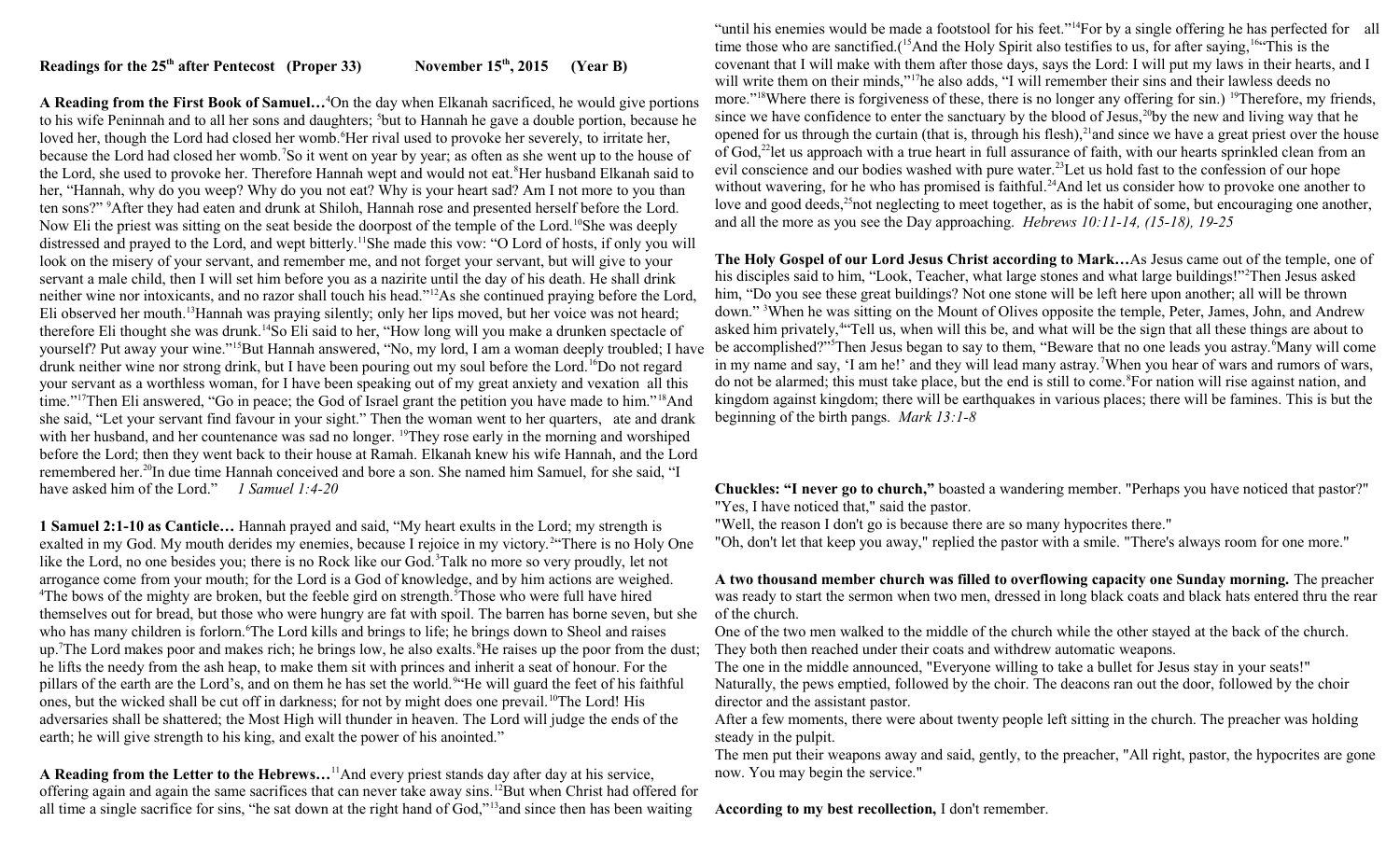## **Readings for the 25th after Pentecost (Proper 33) November 15th, 2015 (Year B)**

**A Reading from the First Book of Samuel…**<sup>4</sup>On the day when Elkanah sacrificed, he would give portions to his wife Peninnah and to all her sons and daughters; <sup>5</sup>but to Hannah he gave a double portion, because he loved her, though the Lord had closed her womb.<sup>6</sup>Her rival used to provoke her severely, to irritate her, because the Lord had closed her womb.<sup>7</sup>So it went on year by year; as often as she went up to the house of the Lord, she used to provoke her. Therefore Hannah wept and would not eat.<sup>8</sup>Her husband Elkanah said to her, "Hannah, why do you weep? Why do you not eat? Why is your heart sad? Am I not more to you than ten sons?" <sup>9</sup>After they had eaten and drunk at Shiloh, Hannah rose and presented herself before the Lord. Now Eli the priest was sitting on the seat beside the doorpost of the temple of the Lord.<sup>10</sup>She was deeply distressed and prayed to the Lord, and wept bitterly.<sup>11</sup>She made this vow: "O Lord of hosts, if only you will look on the misery of your servant, and remember me, and not forget your servant, but will give to your servant a male child, then I will set him before you as a nazirite until the day of his death. He shall drink neither wine nor intoxicants, and no razor shall touch his head."<sup>12</sup>As she continued praying before the Lord, Eli observed her mouth.<sup>13</sup>Hannah was praying silently; only her lips moved, but her voice was not heard; therefore Eli thought she was drunk.<sup>14</sup>So Eli said to her, "How long will you make a drunken spectacle of yourself? Put away your wine."<sup>15</sup>But Hannah answered, "No, my lord, I am a woman deeply troubled; I have drunk neither wine nor strong drink, but I have been pouring out my soul before the Lord.<sup>16</sup>Do not regard your servant as a worthless woman, for I have been speaking out of my great anxiety and vexation all this time."<sup>17</sup>Then Eli answered, "Go in peace; the God of Israel grant the petition you have made to him."<sup>18</sup>And she said, "Let your servant find favour in your sight." Then the woman went to her quarters, ate and drank with her husband, and her countenance was sad no longer. <sup>19</sup>They rose early in the morning and worshiped before the Lord; then they went back to their house at Ramah. Elkanah knew his wife Hannah, and the Lord remembered her.<sup>20</sup>In due time Hannah conceived and bore a son. She named him Samuel, for she said, "I have asked him of the Lord." *1 Samuel 1:4-20*

**1 Samuel 2:1-10 as Canticle…** Hannah prayed and said, "My heart exults in the Lord; my strength is exalted in my God. My mouth derides my enemies, because I rejoice in my victory.<sup>2</sup> There is no Holy One like the Lord, no one besides you; there is no Rock like our God.<sup>3</sup>Talk no more so very proudly, let not arrogance come from your mouth; for the Lord is a God of knowledge, and by him actions are weighed. <sup>4</sup>The bows of the mighty are broken, but the feeble gird on strength.<sup>5</sup>Those who were full have hired themselves out for bread, but those who were hungry are fat with spoil. The barren has borne seven, but she who has many children is forlorn.<sup>6</sup>The Lord kills and brings to life; he brings down to Sheol and raises up.<sup>7</sup>The Lord makes poor and makes rich; he brings low, he also exalts.<sup>8</sup>He raises up the poor from the dust; he lifts the needy from the ash heap, to make them sit with princes and inherit a seat of honour. For the pillars of the earth are the Lord's, and on them he has set the world.<sup>94</sup>He will guard the feet of his faithful ones, but the wicked shall be cut off in darkness; for not by might does one prevail.<sup>10</sup>The Lord! His adversaries shall be shattered; the Most High will thunder in heaven. The Lord will judge the ends of the earth; he will give strength to his king, and exalt the power of his anointed."

**A Reading from the Letter to the Hebrews…**<sup>11</sup>And every priest stands day after day at his service, offering again and again the same sacrifices that can never take away sins.<sup>12</sup>But when Christ had offered for all time a single sacrifice for sins, "he sat down at the right hand of God,"<sup>13</sup>and since then has been waiting

"until his enemies would be made a footstool for his feet."<sup>14</sup>For by a single offering he has perfected for all time those who are sanctified.(<sup>15</sup>And the Holy Spirit also testifies to us, for after saying,<sup>16"</sup>This is the covenant that I will make with them after those days, says the Lord: I will put my laws in their hearts, and I will write them on their minds,"<sup>17</sup>he also adds, "I will remember their sins and their lawless deeds no more."<sup>18</sup>Where there is forgiveness of these, there is no longer any offering for sin.) <sup>19</sup>Therefore, my friends, since we have confidence to enter the sanctuary by the blood of Jesus,<sup>20</sup>by the new and living way that he opened for us through the curtain (that is, through his flesh), $21$  and since we have a great priest over the house of God,<sup>22</sup>let us approach with a true heart in full assurance of faith, with our hearts sprinkled clean from an evil conscience and our bodies washed with pure water.<sup>23</sup>Let us hold fast to the confession of our hope without wavering, for he who has promised is faithful.<sup>24</sup>And let us consider how to provoke one another to love and good deeds,<sup>25</sup>not neglecting to meet together, as is the habit of some, but encouraging one another, and all the more as you see the Day approaching. *Hebrews 10:11-14, (15-18), 19-25*

**The Holy Gospel of our Lord Jesus Christ according to Mark…**As Jesus came out of the temple, one of his disciples said to him, "Look, Teacher, what large stones and what large buildings!"<sup>2</sup>Then Jesus asked him, "Do you see these great buildings? Not one stone will be left here upon another; all will be thrown down." <sup>3</sup>When he was sitting on the Mount of Olives opposite the temple, Peter, James, John, and Andrew asked him privately,<sup>4</sup> Tell us, when will this be, and what will be the sign that all these things are about to be accomplished?"<sup>5</sup>Then Jesus began to say to them, "Beware that no one leads you astray.<sup>6</sup>Many will come in my name and say, 'I am he!' and they will lead many astray.<sup>7</sup>When you hear of wars and rumors of wars, do not be alarmed; this must take place, but the end is still to come.<sup>8</sup>For nation will rise against nation, and kingdom against kingdom; there will be earthquakes in various places; there will be famines. This is but the beginning of the birth pangs. *Mark 13:1-8* 

**Chuckles: "I never go to church,"** boasted a wandering member. "Perhaps you have noticed that pastor?" "Yes, I have noticed that," said the pastor.

"Well, the reason I don't go is because there are so many hypocrites there."

"Oh, don't let that keep you away," replied the pastor with a smile. "There's always room for one more."

**A two thousand member church was filled to overflowing capacity one Sunday morning.** The preacher was ready to start the sermon when two men, dressed in long black coats and black hats entered thru the rear of the church.

One of the two men walked to the middle of the church while the other stayed at the back of the church. They both then reached under their coats and withdrew automatic weapons.

The one in the middle announced, "Everyone willing to take a bullet for Jesus stay in your seats!" Naturally, the pews emptied, followed by the choir. The deacons ran out the door, followed by the choir director and the assistant pastor.

After a few moments, there were about twenty people left sitting in the church. The preacher was holding steady in the pulpit.

The men put their weapons away and said, gently, to the preacher, "All right, pastor, the hypocrites are gone now. You may begin the service."

**According to my best recollection,** I don't remember.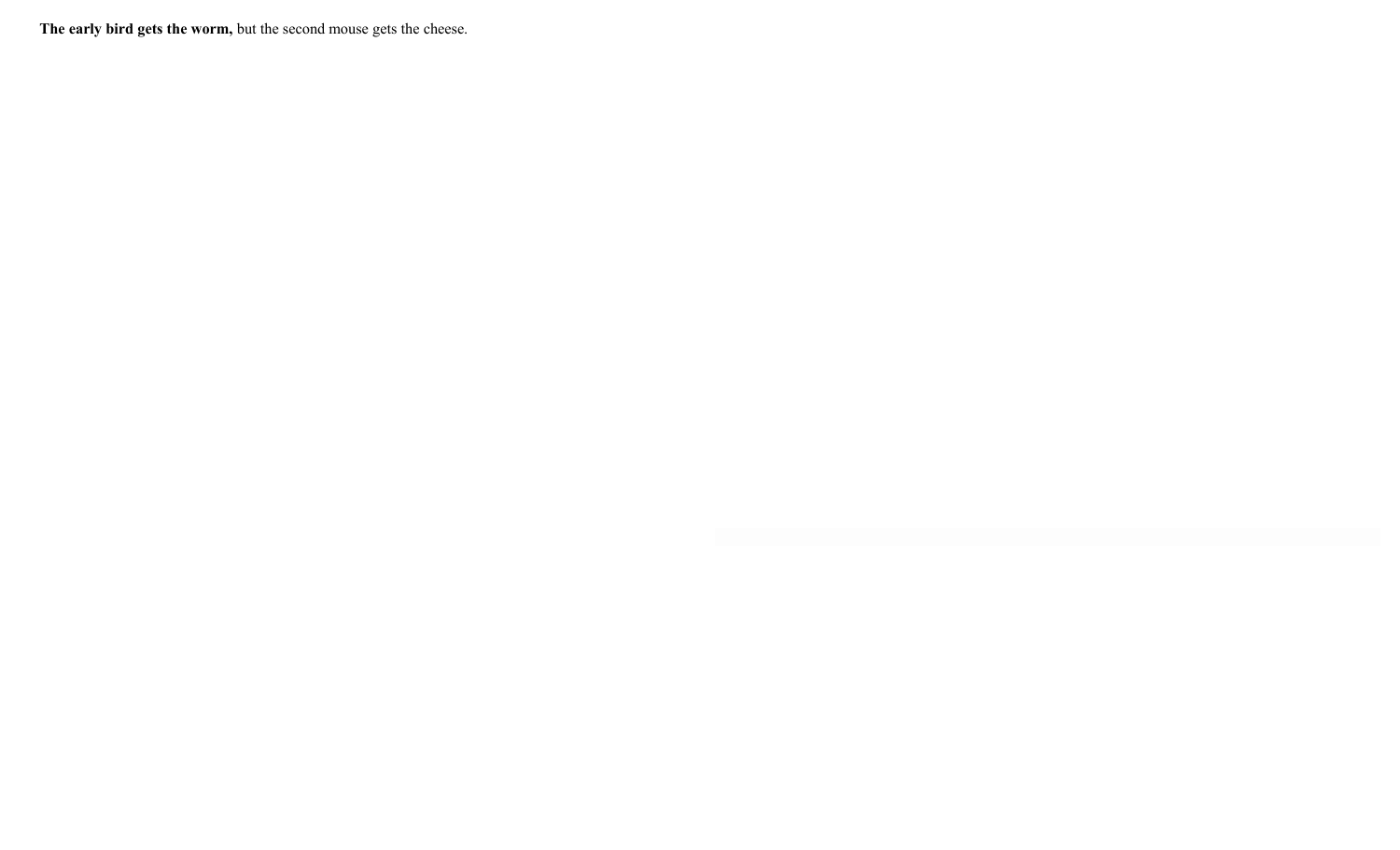**The early bird gets the worm,** but the second mouse gets the cheese.